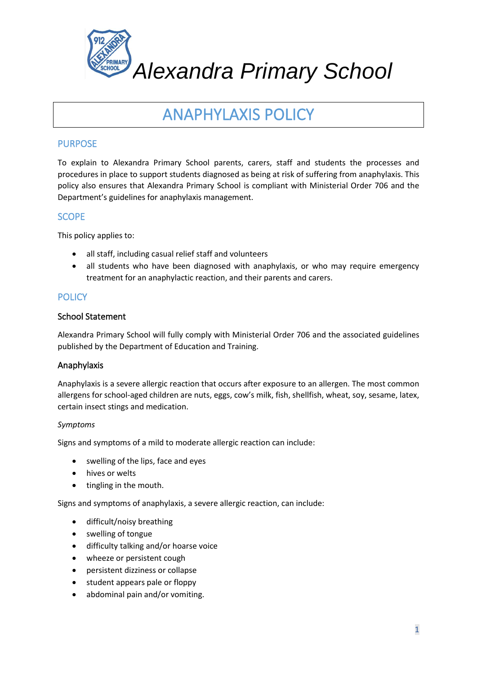

# ANAPHYLAXIS POLICY

# PURPOSE

To explain to Alexandra Primary School parents, carers, staff and students the processes and procedures in place to support students diagnosed as being at risk of suffering from anaphylaxis. This policy also ensures that Alexandra Primary School is compliant with Ministerial Order 706 and the Department's guidelines for anaphylaxis management.

## **SCOPE**

This policy applies to:

- all staff, including casual relief staff and volunteers
- all students who have been diagnosed with anaphylaxis, or who may require emergency treatment for an anaphylactic reaction, and their parents and carers.

# **POLICY**

#### School Statement

Alexandra Primary School will fully comply with Ministerial Order 706 and the associated guidelines published by the Department of Education and Training.

## Anaphylaxis

Anaphylaxis is a severe allergic reaction that occurs after exposure to an allergen. The most common allergens for school-aged children are nuts, eggs, cow's milk, fish, shellfish, wheat, soy, sesame, latex, certain insect stings and medication.

#### *Symptoms*

Signs and symptoms of a mild to moderate allergic reaction can include:

- swelling of the lips, face and eyes
- hives or welts
- tingling in the mouth.

Signs and symptoms of anaphylaxis, a severe allergic reaction, can include:

- difficult/noisy breathing
- swelling of tongue
- difficulty talking and/or hoarse voice
- wheeze or persistent cough
- persistent dizziness or collapse
- student appears pale or floppy
- abdominal pain and/or vomiting.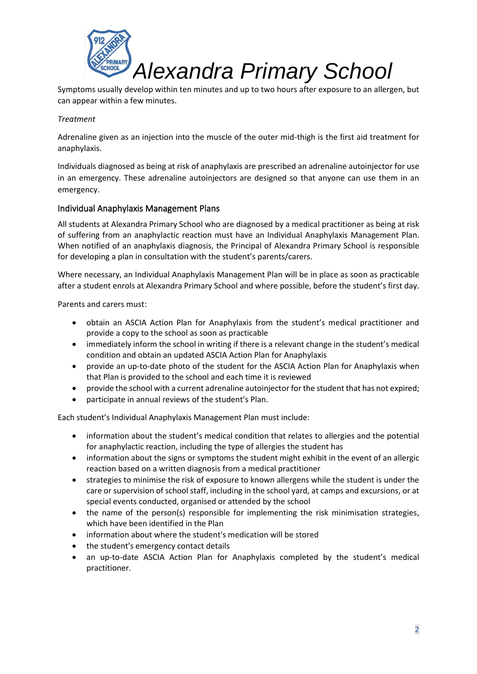

Symptoms usually develop within ten minutes and up to two hours after exposure to an allergen, but can appear within a few minutes.

#### *Treatment*

Adrenaline given as an injection into the muscle of the outer mid-thigh is the first aid treatment for anaphylaxis.

Individuals diagnosed as being at risk of anaphylaxis are prescribed an adrenaline autoinjector for use in an emergency. These adrenaline autoinjectors are designed so that anyone can use them in an emergency.

#### Individual Anaphylaxis Management Plans

All students at Alexandra Primary School who are diagnosed by a medical practitioner as being at risk of suffering from an anaphylactic reaction must have an Individual Anaphylaxis Management Plan. When notified of an anaphylaxis diagnosis, the Principal of Alexandra Primary School is responsible for developing a plan in consultation with the student's parents/carers.

Where necessary, an Individual Anaphylaxis Management Plan will be in place as soon as practicable after a student enrols at Alexandra Primary School and where possible, before the student's first day.

Parents and carers must:

- obtain an ASCIA Action Plan for Anaphylaxis from the student's medical practitioner and provide a copy to the school as soon as practicable
- immediately inform the school in writing if there is a relevant change in the student's medical condition and obtain an updated ASCIA Action Plan for Anaphylaxis
- provide an up-to-date photo of the student for the ASCIA Action Plan for Anaphylaxis when that Plan is provided to the school and each time it is reviewed
- provide the school with a current adrenaline autoinjector for the student that has not expired;
- participate in annual reviews of the student's Plan.

Each student's Individual Anaphylaxis Management Plan must include:

- information about the student's medical condition that relates to allergies and the potential for anaphylactic reaction, including the type of allergies the student has
- information about the signs or symptoms the student might exhibit in the event of an allergic reaction based on a written diagnosis from a medical practitioner
- strategies to minimise the risk of exposure to known allergens while the student is under the care or supervision of school staff, including in the school yard, at camps and excursions, or at special events conducted, organised or attended by the school
- the name of the person(s) responsible for implementing the risk minimisation strategies, which have been identified in the Plan
- information about where the student's medication will be stored
- the student's emergency contact details
- an up-to-date ASCIA Action Plan for Anaphylaxis completed by the student's medical practitioner.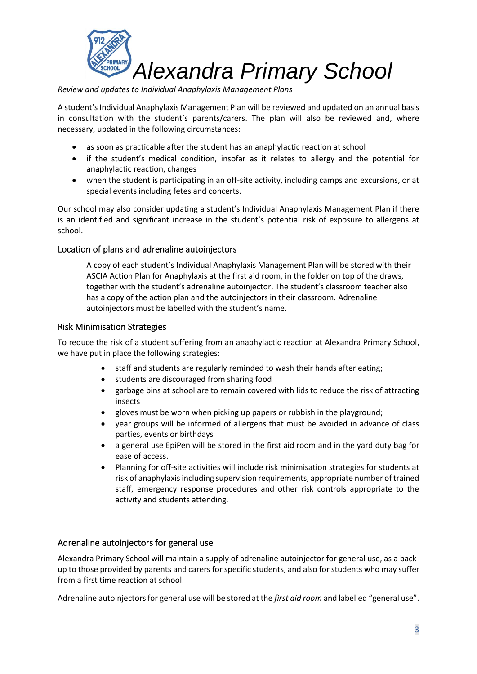

*Review and updates to Individual Anaphylaxis Management Plans* 

A student's Individual Anaphylaxis Management Plan will be reviewed and updated on an annual basis in consultation with the student's parents/carers. The plan will also be reviewed and, where necessary, updated in the following circumstances:

- as soon as practicable after the student has an anaphylactic reaction at school
- if the student's medical condition, insofar as it relates to allergy and the potential for anaphylactic reaction, changes
- when the student is participating in an off-site activity, including camps and excursions, or at special events including fetes and concerts.

Our school may also consider updating a student's Individual Anaphylaxis Management Plan if there is an identified and significant increase in the student's potential risk of exposure to allergens at school.

## Location of plans and adrenaline autoinjectors

A copy of each student's Individual Anaphylaxis Management Plan will be stored with their ASCIA Action Plan for Anaphylaxis at the first aid room, in the folder on top of the draws, together with the student's adrenaline autoinjector. The student's classroom teacher also has a copy of the action plan and the autoinjectors in their classroom. Adrenaline autoinjectors must be labelled with the student's name.

#### Risk Minimisation Strategies

To reduce the risk of a student suffering from an anaphylactic reaction at Alexandra Primary School, we have put in place the following strategies:

- staff and students are regularly reminded to wash their hands after eating;
- students are discouraged from sharing food
- garbage bins at school are to remain covered with lids to reduce the risk of attracting insects
- gloves must be worn when picking up papers or rubbish in the playground;
- year groups will be informed of allergens that must be avoided in advance of class parties, events or birthdays
- a general use EpiPen will be stored in the first aid room and in the yard duty bag for ease of access.
- Planning for off-site activities will include risk minimisation strategies for students at risk of anaphylaxis including supervision requirements, appropriate number of trained staff, emergency response procedures and other risk controls appropriate to the activity and students attending.

#### Adrenaline autoinjectors for general use

Alexandra Primary School will maintain a supply of adrenaline autoinjector for general use, as a backup to those provided by parents and carers for specific students, and also for students who may suffer from a first time reaction at school.

Adrenaline autoinjectors for general use will be stored at the *first aid room* and labelled "general use".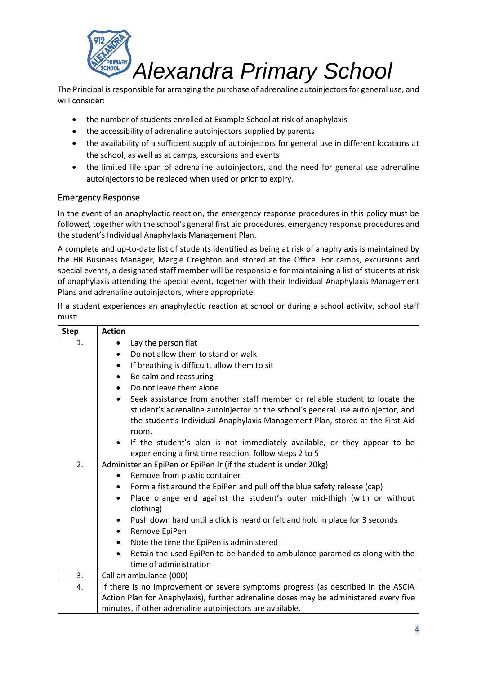

The Principal is responsible for arranging the purchase of adrenaline autoinjectors for general use, and will consider:

- the number of students enrolled at Example School at risk of anaphylaxis
- the accessibility of adrenaline autoinjectors supplied by parents
- the availability of a sufficient supply of autoinjectors for general use in different locations at the school, as well as at camps, excursions and events
- the limited life span of adrenaline autoinjectors, and the need for general use adrenaline autoinjectors to be replaced when used or prior to expiry.

#### Emergency Response

In the event of an anaphylactic reaction, the emergency response procedures in this policy must be followed, together with the school's general first aid procedures, emergency response procedures and the student's Individual Anaphylaxis Management Plan.

A complete and up-to-date list of students identified as being at risk of anaphylaxis is maintained by the HR Business Manager, Margie Creighton and stored at the Office. For camps, excursions and special events, a designated staff member will be responsible for maintaining a list of students at risk of anaphylaxis attending the special event, together with their Individual Anaphylaxis Management Plans and adrenaline autoinjectors, where appropriate.

If a student experiences an anaphylactic reaction at school or during a school activity, school staff must:

| <b>Step</b> | <b>Action</b>                                                                                                                                                                                                                                                         |
|-------------|-----------------------------------------------------------------------------------------------------------------------------------------------------------------------------------------------------------------------------------------------------------------------|
| 1.          | Lay the person flat<br>$\bullet$                                                                                                                                                                                                                                      |
|             | Do not allow them to stand or walk<br>$\bullet$                                                                                                                                                                                                                       |
|             | If breathing is difficult, allow them to sit<br>$\bullet$                                                                                                                                                                                                             |
|             | Be calm and reassuring<br>$\bullet$                                                                                                                                                                                                                                   |
|             | Do not leave them alone<br>$\bullet$                                                                                                                                                                                                                                  |
|             | Seek assistance from another staff member or reliable student to locate the<br>$\bullet$<br>student's adrenaline autoinjector or the school's general use autoinjector, and<br>the student's Individual Anaphylaxis Management Plan, stored at the First Aid<br>room. |
|             | If the student's plan is not immediately available, or they appear to be<br>$\bullet$                                                                                                                                                                                 |
|             | experiencing a first time reaction, follow steps 2 to 5                                                                                                                                                                                                               |
| 2.          | Administer an EpiPen or EpiPen Jr (if the student is under 20kg)                                                                                                                                                                                                      |
|             | Remove from plastic container<br>$\bullet$                                                                                                                                                                                                                            |
|             | Form a fist around the EpiPen and pull off the blue safety release (cap)<br>$\bullet$                                                                                                                                                                                 |
|             | Place orange end against the student's outer mid-thigh (with or without<br>$\bullet$<br>clothing)                                                                                                                                                                     |
|             | Push down hard until a click is heard or felt and hold in place for 3 seconds<br>$\bullet$<br>Remove EpiPen<br>$\bullet$                                                                                                                                              |
|             | Note the time the EpiPen is administered<br>$\bullet$                                                                                                                                                                                                                 |
|             | Retain the used EpiPen to be handed to ambulance paramedics along with the<br>$\bullet$<br>time of administration                                                                                                                                                     |
| 3.          | Call an ambulance (000)                                                                                                                                                                                                                                               |
| 4.          | If there is no improvement or severe symptoms progress (as described in the ASCIA                                                                                                                                                                                     |
|             | Action Plan for Anaphylaxis), further adrenaline doses may be administered every five                                                                                                                                                                                 |
|             | minutes, if other adrenaline autoinjectors are available.                                                                                                                                                                                                             |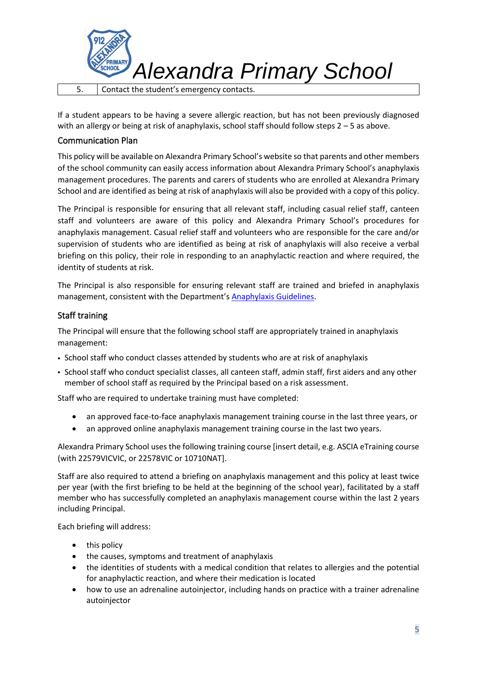

If a student appears to be having a severe allergic reaction, but has not been previously diagnosed with an allergy or being at risk of anaphylaxis, school staff should follow steps 2 – 5 as above.

#### Communication Plan

This policy will be available on Alexandra Primary School's website so that parents and other members of the school community can easily access information about Alexandra Primary School's anaphylaxis management procedures. The parents and carers of students who are enrolled at Alexandra Primary School and are identified as being at risk of anaphylaxis will also be provided with a copy of this policy.

The Principal is responsible for ensuring that all relevant staff, including casual relief staff, canteen staff and volunteers are aware of this policy and Alexandra Primary School's procedures for anaphylaxis management. Casual relief staff and volunteers who are responsible for the care and/or supervision of students who are identified as being at risk of anaphylaxis will also receive a verbal briefing on this policy, their role in responding to an anaphylactic reaction and where required, the identity of students at risk.

The Principal is also responsible for ensuring relevant staff are trained and briefed in anaphylaxis management, consistent with the Department's [Anaphylaxis Guidelines.](https://www2.education.vic.gov.au/pal/anaphylaxis/guidance)

## Staff training

The Principal will ensure that the following school staff are appropriately trained in anaphylaxis management:

- School staff who conduct classes attended by students who are at risk of anaphylaxis
- School staff who conduct specialist classes, all canteen staff, admin staff, first aiders and any other member of school staff as required by the Principal based on a risk assessment.

Staff who are required to undertake training must have completed:

- an approved face-to-face anaphylaxis management training course in the last three years, or
- an approved online anaphylaxis management training course in the last two years.

Alexandra Primary School uses the following training course [insert detail, e.g. ASCIA eTraining course (with 22579VICVIC, or 22578VIC or 10710NAT].

Staff are also required to attend a briefing on anaphylaxis management and this policy at least twice per year (with the first briefing to be held at the beginning of the school year), facilitated by a staff member who has successfully completed an anaphylaxis management course within the last 2 years including Principal.

Each briefing will address:

- this policy
- the causes, symptoms and treatment of anaphylaxis
- the identities of students with a medical condition that relates to allergies and the potential for anaphylactic reaction, and where their medication is located
- how to use an adrenaline autoinjector, including hands on practice with a trainer adrenaline autoinjector